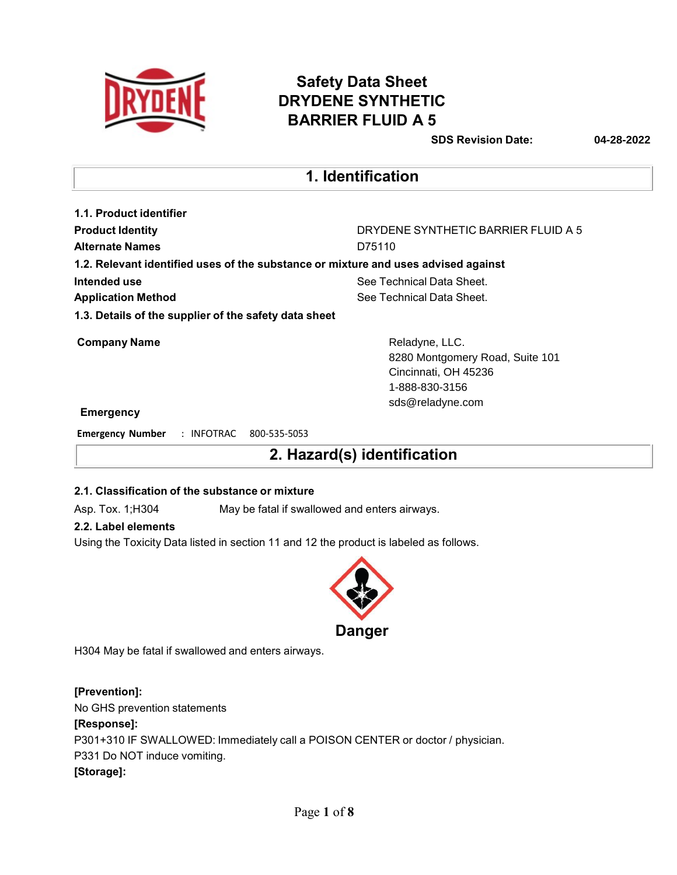

### **Safety Data Sheet DRYDENE SYNTHETIC BARRIER FLUID A 5**

**SDS Revision Date: 04-28-2022**

### **1. Identification**

| 1.1. Product identifier                               |                                                                                    |
|-------------------------------------------------------|------------------------------------------------------------------------------------|
| <b>Product Identity</b>                               | DRYDENE SYNTHETIC BARRIER FLUID A 5                                                |
| <b>Alternate Names</b>                                | D75110                                                                             |
|                                                       | 1.2. Relevant identified uses of the substance or mixture and uses advised against |
| Intended use                                          | See Technical Data Sheet.                                                          |
| <b>Application Method</b>                             | See Technical Data Sheet.                                                          |
| 1.3. Details of the supplier of the safety data sheet |                                                                                    |
| <b>Company Name</b>                                   | Reladyne, LLC.                                                                     |
|                                                       | 8280 Montgomery Road, Suite 101                                                    |
|                                                       | Cincinnati, OH 45236                                                               |
|                                                       | 1-888-830-3156                                                                     |

#### **Emergency**

**Emergency Number** : INFOTRAC 800-535-5053

**2. Hazard(s) identification**

sds@reladyne.com

#### **2.1. Classification of the substance or mixture**

Asp. Tox. 1;H304 May be fatal if swallowed and enters airways.

#### **2.2. Label elements**

Using the Toxicity Data listed in section 11 and 12 the product is labeled as follows.



H304 May be fatal if swallowed and enters airways.

### **[Prevention]:**

No GHS prevention statements

#### **[Response]:**

P301+310 IF SWALLOWED: Immediately call a POISON CENTER or doctor / physician.

P331 Do NOT induce vomiting.

### **[Storage]:**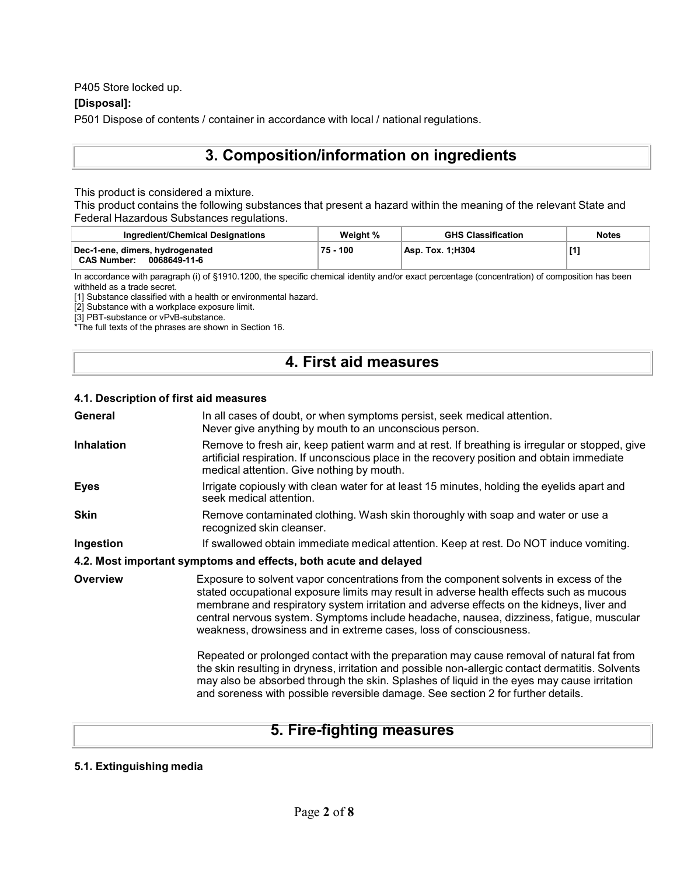P405 Store locked up.

#### **[Disposal]:**

P501 Dispose of contents / container in accordance with local / national regulations.

### **3. Composition/information on ingredients**

This product is considered a mixture.

This product contains the following substances that present a hazard within the meaning of the relevant State and Federal Hazardous Substances regulations.

| Ingredient/Chemical Designations                                      | Weight % | <b>GHS Classification</b> | <b>Notes</b>                                                                                                                                                   |
|-----------------------------------------------------------------------|----------|---------------------------|----------------------------------------------------------------------------------------------------------------------------------------------------------------|
| Dec-1-ene, dimers, hydrogenated<br><b>CAS Number:</b><br>0068649-11-6 | 75 - 100 | Asp. Tox. 1:H304          | $[1] % \centering \includegraphics[width=0.9\columnwidth]{figures/fig_10.pdf} \caption{The figure shows the number of times on the right.} \label{fig:time} %$ |

In accordance with paragraph (i) of §1910.1200, the specific chemical identity and/or exact percentage (concentration) of composition has been withheld as a trade secret.

[1] Substance classified with a health or environmental hazard.

[2] Substance with a workplace exposure limit.

[3] PBT-substance or vPvB-substance.

\*The full texts of the phrases are shown in Section 16.

### **4. First aid measures**

#### **4.1. Description of first aid measures**

| General           | In all cases of doubt, or when symptoms persist, seek medical attention.<br>Never give anything by mouth to an unconscious person.                                                                                                                                                                                                                                                                                                           |
|-------------------|----------------------------------------------------------------------------------------------------------------------------------------------------------------------------------------------------------------------------------------------------------------------------------------------------------------------------------------------------------------------------------------------------------------------------------------------|
| <b>Inhalation</b> | Remove to fresh air, keep patient warm and at rest. If breathing is irregular or stopped, give<br>artificial respiration. If unconscious place in the recovery position and obtain immediate<br>medical attention. Give nothing by mouth.                                                                                                                                                                                                    |
| <b>Eyes</b>       | Irrigate copiously with clean water for at least 15 minutes, holding the eyelids apart and<br>seek medical attention.                                                                                                                                                                                                                                                                                                                        |
| Skin              | Remove contaminated clothing. Wash skin thoroughly with soap and water or use a<br>recognized skin cleanser.                                                                                                                                                                                                                                                                                                                                 |
| Ingestion         | If swallowed obtain immediate medical attention. Keep at rest. Do NOT induce vomiting.                                                                                                                                                                                                                                                                                                                                                       |
|                   | 4.2. Most important symptoms and effects, both acute and delayed                                                                                                                                                                                                                                                                                                                                                                             |
| <b>Overview</b>   | Exposure to solvent vapor concentrations from the component solvents in excess of the<br>stated occupational exposure limits may result in adverse health effects such as mucous<br>membrane and respiratory system irritation and adverse effects on the kidneys, liver and<br>central nervous system. Symptoms include headache, nausea, dizziness, fatigue, muscular<br>weakness, drowsiness and in extreme cases, loss of consciousness. |
|                   | Repeated or prolonged contact with the preparation may cause removal of natural fat from<br>the skin resulting in dryness, irritation and possible non-allergic contact dermatitis. Solvents<br>may also be absorbed through the skin. Splashes of liquid in the eyes may cause irritation<br>and soreness with possible reversible damage. See section 2 for further details.                                                               |
|                   |                                                                                                                                                                                                                                                                                                                                                                                                                                              |

### **5. Fire-fighting measures**

#### **5.1. Extinguishing media**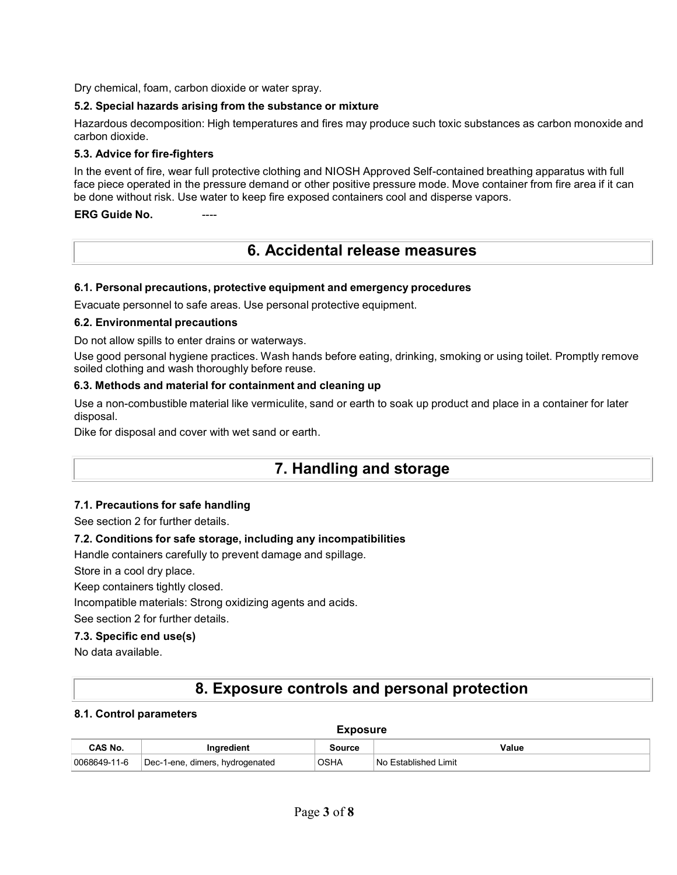Dry chemical, foam, carbon dioxide or water spray.

#### **5.2. Special hazards arising from the substance or mixture**

Hazardous decomposition: High temperatures and fires may produce such toxic substances as carbon monoxide and carbon dioxide.

#### **5.3. Advice for fire-fighters**

In the event of fire, wear full protective clothing and NIOSH Approved Self-contained breathing apparatus with full face piece operated in the pressure demand or other positive pressure mode. Move container from fire area if it can be done without risk. Use water to keep fire exposed containers cool and disperse vapors.

**ERG** Guide No.

### **6. Accidental release measures**

#### **6.1. Personal precautions, protective equipment and emergency procedures**

Evacuate personnel to safe areas. Use personal protective equipment.

#### **6.2. Environmental precautions**

Do not allow spills to enter drains or waterways.

Use good personal hygiene practices. Wash hands before eating, drinking, smoking or using toilet. Promptly remove soiled clothing and wash thoroughly before reuse.

#### **6.3. Methods and material for containment and cleaning up**

Use a non-combustible material like vermiculite, sand or earth to soak up product and place in a container for later disposal.

Dike for disposal and cover with wet sand or earth.

### **7. Handling and storage**

#### **7.1. Precautions for safe handling**

See section 2 for further details.

#### **7.2. Conditions for safe storage, including any incompatibilities**

Handle containers carefully to prevent damage and spillage.

Store in a cool dry place.

Keep containers tightly closed.

Incompatible materials: Strong oxidizing agents and acids.

See section 2 for further details.

#### **7.3. Specific end use(s)**

No data available.

### **8. Exposure controls and personal protection**

#### **8.1. Control parameters**

| CAS No.      | aredient                               | ource | Value                          |
|--------------|----------------------------------------|-------|--------------------------------|
| 0068649-11-6 | `Dec-1-ene,<br>dimers,<br>hvdrogenated | OSHA  | Limit<br>Established<br>: No ' |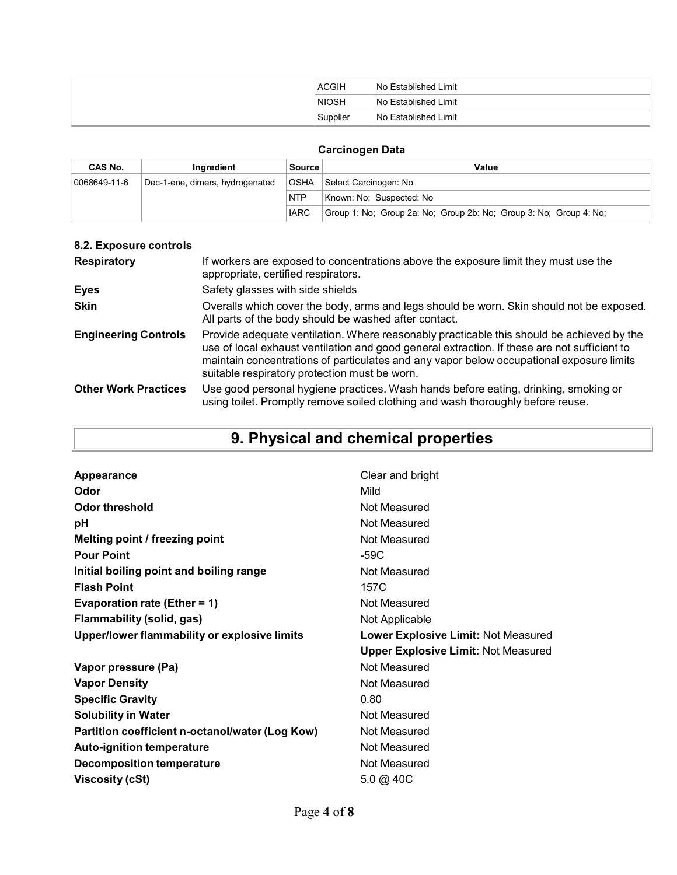| <b>ACGIH</b> | No Established Limit |
|--------------|----------------------|
| <b>NIOSH</b> | No Established Limit |
| Supplier     | No Established Limit |

### **Carcinogen Data**

| CAS No.      | Inaredient                      | <b>Source</b> | Value                                                              |
|--------------|---------------------------------|---------------|--------------------------------------------------------------------|
| 0068649-11-6 | Dec-1-ene, dimers, hydrogenated | ∣OSHA         | Select Carcinogen: No                                              |
|              |                                 | NTP           | Known: No: Suspected: No                                           |
|              |                                 | <b>IARC</b>   | Group 1: No; Group 2a: No; Group 2b: No; Group 3: No; Group 4: No; |

| 8.2. Exposure controls      |                                                                                                                                                                                                                                                                                                                                        |
|-----------------------------|----------------------------------------------------------------------------------------------------------------------------------------------------------------------------------------------------------------------------------------------------------------------------------------------------------------------------------------|
| <b>Respiratory</b>          | If workers are exposed to concentrations above the exposure limit they must use the<br>appropriate, certified respirators.                                                                                                                                                                                                             |
| <b>Eyes</b>                 | Safety glasses with side shields                                                                                                                                                                                                                                                                                                       |
| <b>Skin</b>                 | Overalls which cover the body, arms and legs should be worn. Skin should not be exposed.<br>All parts of the body should be washed after contact.                                                                                                                                                                                      |
| <b>Engineering Controls</b> | Provide adequate ventilation. Where reasonably practicable this should be achieved by the<br>use of local exhaust ventilation and good general extraction. If these are not sufficient to<br>maintain concentrations of particulates and any vapor below occupational exposure limits<br>suitable respiratory protection must be worn. |
| <b>Other Work Practices</b> | Use good personal hygiene practices. Wash hands before eating, drinking, smoking or<br>using toilet. Promptly remove soiled clothing and wash thoroughly before reuse.                                                                                                                                                                 |

# **9. Physical and chemical properties**

| <b>Appearance</b>                               | Clear and bright                           |
|-------------------------------------------------|--------------------------------------------|
| Odor                                            | Mild                                       |
| <b>Odor threshold</b>                           | Not Measured                               |
| рH                                              | Not Measured                               |
| Melting point / freezing point                  | Not Measured                               |
| <b>Pour Point</b>                               | -59C                                       |
| Initial boiling point and boiling range         | Not Measured                               |
| <b>Flash Point</b>                              | 157C                                       |
| Evaporation rate (Ether = 1)                    | Not Measured                               |
| Flammability (solid, gas)                       | Not Applicable                             |
| Upper/lower flammability or explosive limits    | <b>Lower Explosive Limit: Not Measured</b> |
|                                                 | <b>Upper Explosive Limit: Not Measured</b> |
| Vapor pressure (Pa)                             | Not Measured                               |
| <b>Vapor Density</b>                            | Not Measured                               |
| <b>Specific Gravity</b>                         | 0.80                                       |
| <b>Solubility in Water</b>                      | Not Measured                               |
| Partition coefficient n-octanol/water (Log Kow) | Not Measured                               |
| <b>Auto-ignition temperature</b>                |                                            |
|                                                 | Not Measured                               |
| <b>Decomposition temperature</b>                | Not Measured                               |
| <b>Viscosity (cSt)</b>                          | $5.0 \; @.40C$                             |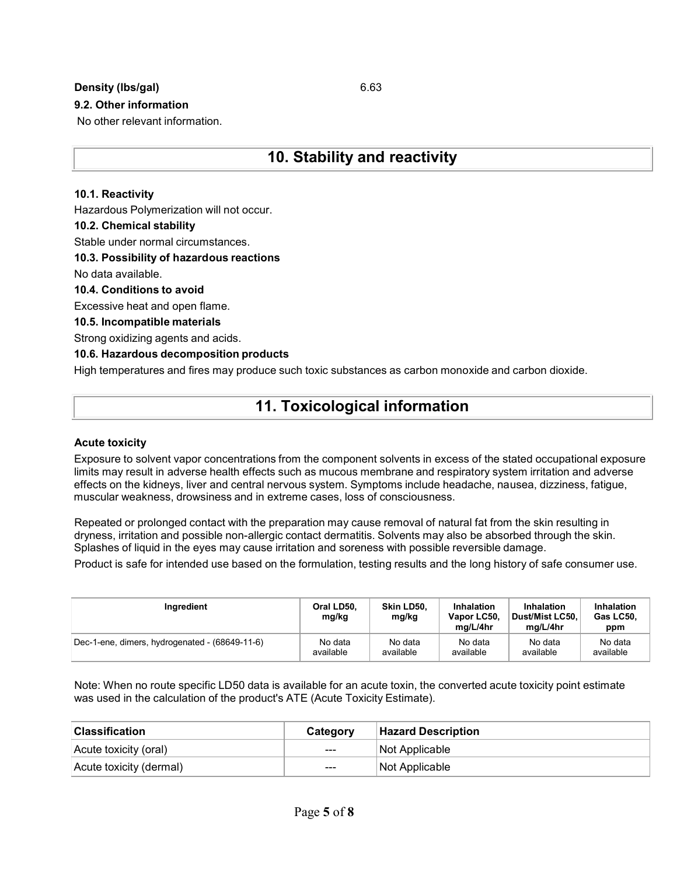#### **Density (lbs/gal)** 6.63

#### **9.2. Other information**

No other relevant information.

### **10. Stability and reactivity**

#### **10.1. Reactivity**

Hazardous Polymerization will not occur.

#### **10.2. Chemical stability**

Stable under normal circumstances.

#### **10.3. Possibility of hazardous reactions**

No data available.

#### **10.4. Conditions to avoid**

Excessive heat and open flame.

#### **10.5. Incompatible materials**

Strong oxidizing agents and acids.

#### **10.6. Hazardous decomposition products**

High temperatures and fires may produce such toxic substances as carbon monoxide and carbon dioxide.

### **11. Toxicological information**

#### **Acute toxicity**

Exposure to solvent vapor concentrations from the component solvents in excess of the stated occupational exposure limits may result in adverse health effects such as mucous membrane and respiratory system irritation and adverse effects on the kidneys, liver and central nervous system. Symptoms include headache, nausea, dizziness, fatigue, muscular weakness, drowsiness and in extreme cases, loss of consciousness.

Repeated or prolonged contact with the preparation may cause removal of natural fat from the skin resulting in dryness, irritation and possible non-allergic contact dermatitis. Solvents may also be absorbed through the skin. Splashes of liquid in the eyes may cause irritation and soreness with possible reversible damage.

Product is safe for intended use based on the formulation, testing results and the long history of safe consumer use.

| Ingredient                                     | Oral LD50,<br>mg/kg | Skin LD50.<br>mg/kg | Inhalation<br>Vapor LC50,<br>ma/L/4hr | Inhalation<br>Dust/Mist LC50.<br>ma/L/4hr | Inhalation<br>Gas LC50,<br>ppm |
|------------------------------------------------|---------------------|---------------------|---------------------------------------|-------------------------------------------|--------------------------------|
| Dec-1-ene, dimers, hydrogenated - (68649-11-6) | No data             | No data             | No data                               | No data                                   | No data                        |
|                                                | available           | available           | available                             | available                                 | available                      |

Note: When no route specific LD50 data is available for an acute toxin, the converted acute toxicity point estimate was used in the calculation of the product's ATE (Acute Toxicity Estimate).

| <b>Classification</b>   | Category | <b>Hazard Description</b> |
|-------------------------|----------|---------------------------|
| Acute toxicity (oral)   | $---$    | Not Applicable            |
| Acute toxicity (dermal) | $---$    | Not Applicable            |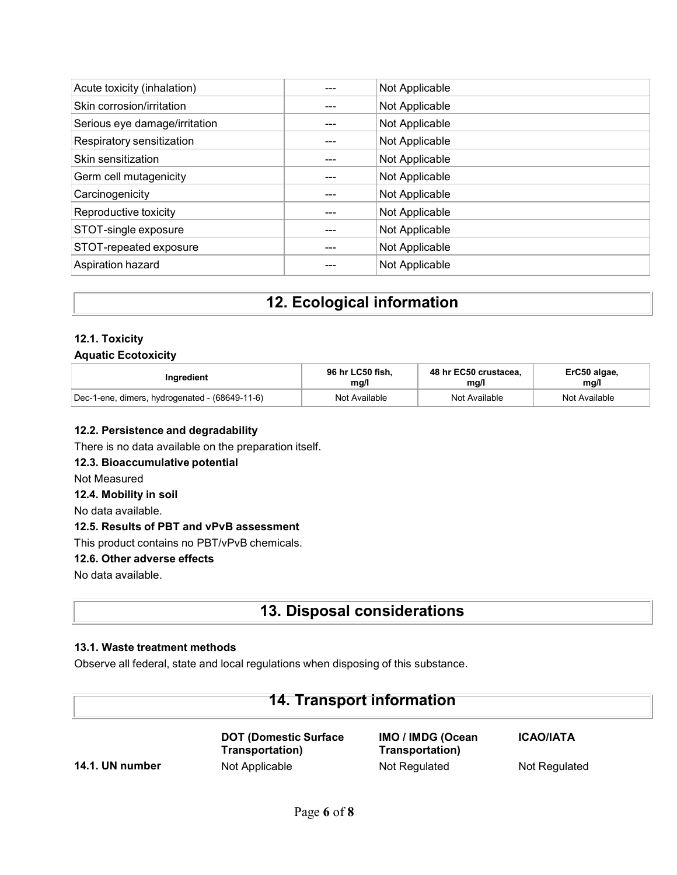| Acute toxicity (inhalation)   | Not Applicable |
|-------------------------------|----------------|
| Skin corrosion/irritation     | Not Applicable |
| Serious eye damage/irritation | Not Applicable |
| Respiratory sensitization     | Not Applicable |
| Skin sensitization            | Not Applicable |
| Germ cell mutagenicity        | Not Applicable |
| Carcinogenicity               | Not Applicable |
| Reproductive toxicity         | Not Applicable |
| STOT-single exposure          | Not Applicable |
| STOT-repeated exposure        | Not Applicable |
| Aspiration hazard             | Not Applicable |

### **12. Ecological information**

#### **12.1. Toxicity Aquatic Ecotoxicity**

| Ingredient                                     | 96 hr LC50 fish. | 48 hr EC50 crustacea. | ErC50 algae,  |
|------------------------------------------------|------------------|-----------------------|---------------|
|                                                | mg/l             | ma/l                  | mg/l          |
| Dec-1-ene, dimers, hydrogenated - (68649-11-6) | Not Available    | Not Available         | Not Available |

#### **12.2. Persistence and degradability**

There is no data available on the preparation itself.

#### **12.3. Bioaccumulative potential**

Not Measured

### **12.4. Mobility in soil**

No data available.

### **12.5. Results of PBT and vPvB assessment**

This product contains no PBT/vPvB chemicals.

#### **12.6. Other adverse effects**

No data available.

### **13. Disposal considerations**

#### **13.1. Waste treatment methods**

Observe all federal, state and local regulations when disposing of this substance.

### **14. Transport information**

**DOT (Domestic Surface Transportation) 14.1. UN number** Not Applicable Not Regulated Not Regulated Not Regulated

**IMO / IMDG (Ocean Transportation)**

**ICAO/IATA**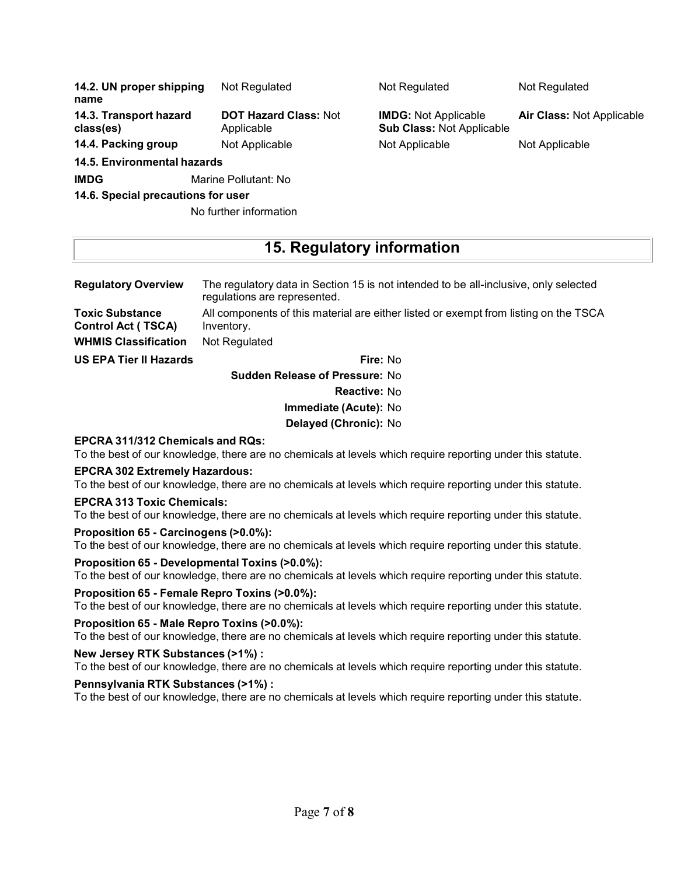| 14.2. UN proper shipping<br>name    | Not Regulated                              | Not Regulated                                                   | Not Regulated             |
|-------------------------------------|--------------------------------------------|-----------------------------------------------------------------|---------------------------|
| 14.3. Transport hazard<br>class(es) | <b>DOT Hazard Class: Not</b><br>Applicable | <b>IMDG: Not Applicable</b><br><b>Sub Class: Not Applicable</b> | Air Class: Not Applicable |
| 14.4. Packing group                 | Not Applicable                             | Not Applicable                                                  | Not Applicable            |
| 14.5. Environmental hazards         |                                            |                                                                 |                           |
| <b>IMDG</b>                         | Marine Pollutant: No                       |                                                                 |                           |
| 14.6. Special precautions for user  |                                            |                                                                 |                           |

## **15. Regulatory information**

| <b>Regulatory Overview</b>                          | The regulatory data in Section 15 is not intended to be all-inclusive, only selected<br>regulations are represented. |
|-----------------------------------------------------|----------------------------------------------------------------------------------------------------------------------|
| <b>Toxic Substance</b><br><b>Control Act (TSCA)</b> | All components of this material are either listed or exempt from listing on the TSCA<br>Inventory.                   |
| <b>WHMIS Classification</b>                         | Not Regulated                                                                                                        |
| <b>US EPA Tier II Hazards</b>                       | Fire: No                                                                                                             |

**Sudden Release of Pressure:** No

No further information

**Reactive:** No

#### **Immediate (Acute):** No

**Delayed (Chronic):** No

#### **EPCRA 311/312 Chemicals and RQs:**

To the best of our knowledge, there are no chemicals at levels which require reporting under this statute.

#### **EPCRA 302 Extremely Hazardous:**

To the best of our knowledge, there are no chemicals at levels which require reporting under this statute.

#### **EPCRA 313 Toxic Chemicals:**

To the best of our knowledge, there are no chemicals at levels which require reporting under this statute.

#### **Proposition 65 - Carcinogens (>0.0%):**

To the best of our knowledge, there are no chemicals at levels which require reporting under this statute.

#### **Proposition 65 - Developmental Toxins (>0.0%):**

To the best of our knowledge, there are no chemicals at levels which require reporting under this statute.

#### **Proposition 65 - Female Repro Toxins (>0.0%):**

To the best of our knowledge, there are no chemicals at levels which require reporting under this statute.

#### **Proposition 65 - Male Repro Toxins (>0.0%):**

To the best of our knowledge, there are no chemicals at levels which require reporting under this statute.

#### **New Jersey RTK Substances (>1%) :**

To the best of our knowledge, there are no chemicals at levels which require reporting under this statute.

#### **Pennsylvania RTK Substances (>1%) :**

To the best of our knowledge, there are no chemicals at levels which require reporting under this statute.